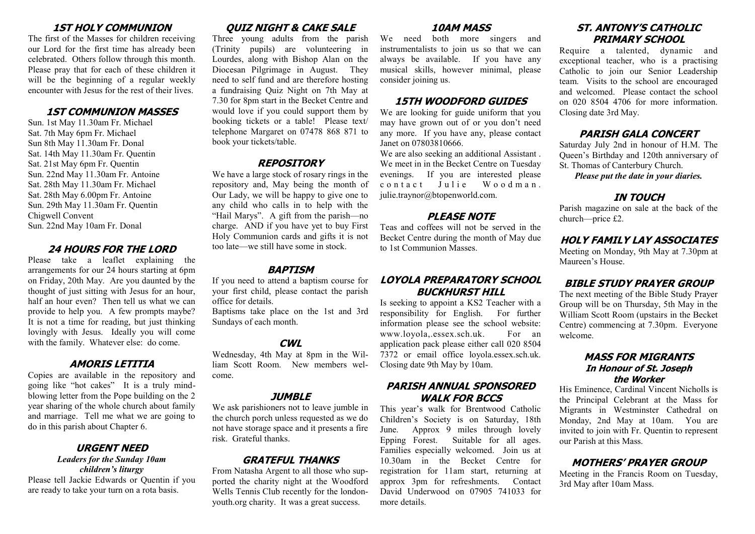## **1ST HOLY COMMUNION**

The first of the Masses for children receiving our Lord for the first time has already been celebrated. Others follow through this month. Please pray that for each of these children it will be the beginning of a regular weekly encounter with Jesus for the rest of their lives.

### **1ST COMMUNION MASSES**

Sun. 1st May 11.30am Fr. Michael Sat. 7th May 6pm Fr. Michael Sun 8th May 11.30am Fr. Donal Sat. 14th May 11.30am Fr. Quentin Sat. 21st May 6pm Fr. Quentin Sun. 22nd May 11.30am Fr. Antoine Sat. 28th May 11.30am Fr. Michael Sat. 28th May 6.00pm Fr. Antoine Sun. 29th May 11.30am Fr. Quentin Chigwell Convent Sun. 22nd May 10am Fr. Donal

## **24 HOURS FOR THE LORD**

Please take a leaflet explaining the arrangements for our 24 hours starting at 6pm on Friday, 20th May. Are you daunted by the thought of just sitting with Jesus for an hour, half an hour even? Then tell us what we can provide to help you. A few prompts maybe? It is not a time for reading, but just thinking lovingly with Jesus. Ideally you will come with the family. Whatever else: do come.

## **AMORIS LETITIA**

Copies are available in the repository and going like "hot cakes" It is a truly mindblowing letter from the Pope building on the 2 year sharing of the whole church about family and marriage. Tell me what we are going to do in this parish about Chapter 6.

#### **URGENT NEED** *Leaders for the Sunday 10am children's liturgy*

Please tell Jackie Edwards or Quentin if you are ready to take your turn on a rota basis.

# **QUIZ NIGHT & CAKE SALE**

Three young adults from the parish (Trinity pupils) are volunteering in Lourdes, along with Bishop Alan on the Diocesan Pilgrimage in August. They need to self fund and are therefore hosting a fundraising Quiz Night on 7th May at 7.30 for 8pm start in the Becket Centre and would love if you could support them by booking tickets or a table! Please text/ telephone Margaret on 07478 868 871 to book your tickets/table.

# **REPOSITORY**

We have a large stock of rosary rings in the repository and, May being the month of Our Lady, we will be happy to give one to any child who calls in to help with the "Hail Marys". A gift from the parish—no charge. AND if you have yet to buy First Holy Communion cards and gifts it is not too late—we still have some in stock.

## **BAPTISM**

If you need to attend a baptism course for your first child, please contact the parish office for details.

Baptisms take place on the 1st and 3rd Sundays of each month.

## **CWL**

Wednesday, 4th May at 8pm in the William Scott Room. New members welcome.

## **JUMBLE**

We ask parishioners not to leave jumble in the church porch unless requested as we do not have storage space and it presents a fire risk. Grateful thanks.

# **GRATEFUL THANKS**

From Natasha Argent to all those who supported the charity night at the Woodford Wells Tennis Club recently for the londonyouth.org charity. It was a great success.

## **10AM MASS**

We need both more singers and instrumentalists to join us so that we can always be available. If you have any musical skills, however minimal, please consider joining us.

## **15TH WOODFORD GUIDES**

We are looking for guide uniform that you may have grown out of or you don't need any more. If you have any, please contact Janet on 07803810666.

We are also seeking an additional Assistant . We meet in in the Becket Centre on Tuesday evenings. If you are interested please contact Julie Woodman. julie.traynor@btopenworld.com.

# **PLEASE NOTE**

Teas and coffees will not be served in the Becket Centre during the month of May due to 1st Communion Masses.

# **LOYOLA PREPARATORY SCHOOL BUCKHURST HILL**

Is seeking to appoint a KS2 Teacher with a responsibility for English. For further information please see the school website: www.loyola,.essex.sch.uk. For an application pack please either call 020 8504 7372 or email office loyola.essex.sch.uk. Closing date 9th May by 10am.

# **PARISH ANNUAL SPONSORED WALK FOR BCCS**

This year's walk for Brentwood Catholic Children's Society is on Saturday, 18th June. Approx 9 miles through lovely Epping Forest. Suitable for all ages. Families especially welcomed. Join us at 10.30am in the Becket Centre for registration for 11am start, returning at approx 3pm for refreshments. Contact David Underwood on 07905 741033 for more details.

# **ST. ANTONY'S CATHOLIC PRIMARY SCHOOL**

Require a talented, dynamic and exceptional teacher, who is a practising Catholic to join our Senior Leadership team. Visits to the school are encouraged and welcomed. Please contact the school on 020 8504 4706 for more information. Closing date 3rd May.

# **PARISH GALA CONCERT**

Saturday July 2nd in honour of H.M. The Queen's Birthday and 120th anniversary of St. Thomas of Canterbury Church.

*Please put the date in your diaries.*

# **IN TOUCH**

Parish magazine on sale at the back of the church—price £2.

## **HOLY FAMILY LAY ASSOCIATES**

Meeting on Monday, 9th May at 7.30pm at Maureen's House.

# **BIBLE STUDY PRAYER GROUP**

The next meeting of the Bible Study Prayer Group will be on Thursday, 5th May in the William Scott Room (upstairs in the Becket Centre) commencing at 7.30pm. Everyone welcome.

## **MASS FOR MIGRANTS In Honour of St. Joseph the Worker**

His Eminence, Cardinal Vincent Nicholls is the Principal Celebrant at the Mass for Migrants in Westminster Cathedral on Monday, 2nd May at 10am. You are invited to join with Fr. Quentin to represent our Parish at this Mass.

# **MOTHERS' PRAYER GROUP**

Meeting in the Francis Room on Tuesday, 3rd May after 10am Mass.